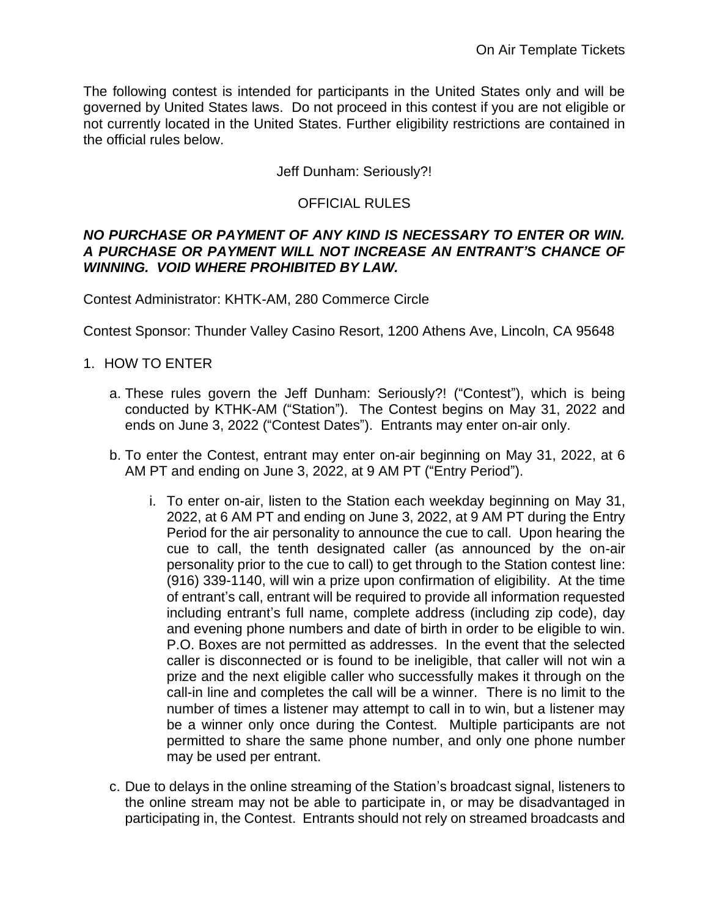The following contest is intended for participants in the United States only and will be governed by United States laws. Do not proceed in this contest if you are not eligible or not currently located in the United States. Further eligibility restrictions are contained in the official rules below.

Jeff Dunham: Seriously?!

## OFFICIAL RULES

#### *NO PURCHASE OR PAYMENT OF ANY KIND IS NECESSARY TO ENTER OR WIN. A PURCHASE OR PAYMENT WILL NOT INCREASE AN ENTRANT'S CHANCE OF WINNING. VOID WHERE PROHIBITED BY LAW.*

Contest Administrator: KHTK-AM, 280 Commerce Circle

Contest Sponsor: Thunder Valley Casino Resort, 1200 Athens Ave, Lincoln, CA 95648

- 1. HOW TO ENTER
	- a. These rules govern the Jeff Dunham: Seriously?! ("Contest"), which is being conducted by KTHK-AM ("Station"). The Contest begins on May 31, 2022 and ends on June 3, 2022 ("Contest Dates"). Entrants may enter on-air only.
	- b. To enter the Contest, entrant may enter on-air beginning on May 31, 2022, at 6 AM PT and ending on June 3, 2022, at 9 AM PT ("Entry Period").
		- i. To enter on-air, listen to the Station each weekday beginning on May 31, 2022, at 6 AM PT and ending on June 3, 2022, at 9 AM PT during the Entry Period for the air personality to announce the cue to call. Upon hearing the cue to call, the tenth designated caller (as announced by the on-air personality prior to the cue to call) to get through to the Station contest line: (916) 339-1140, will win a prize upon confirmation of eligibility. At the time of entrant's call, entrant will be required to provide all information requested including entrant's full name, complete address (including zip code), day and evening phone numbers and date of birth in order to be eligible to win. P.O. Boxes are not permitted as addresses. In the event that the selected caller is disconnected or is found to be ineligible, that caller will not win a prize and the next eligible caller who successfully makes it through on the call-in line and completes the call will be a winner. There is no limit to the number of times a listener may attempt to call in to win, but a listener may be a winner only once during the Contest. Multiple participants are not permitted to share the same phone number, and only one phone number may be used per entrant.
	- c. Due to delays in the online streaming of the Station's broadcast signal, listeners to the online stream may not be able to participate in, or may be disadvantaged in participating in, the Contest. Entrants should not rely on streamed broadcasts and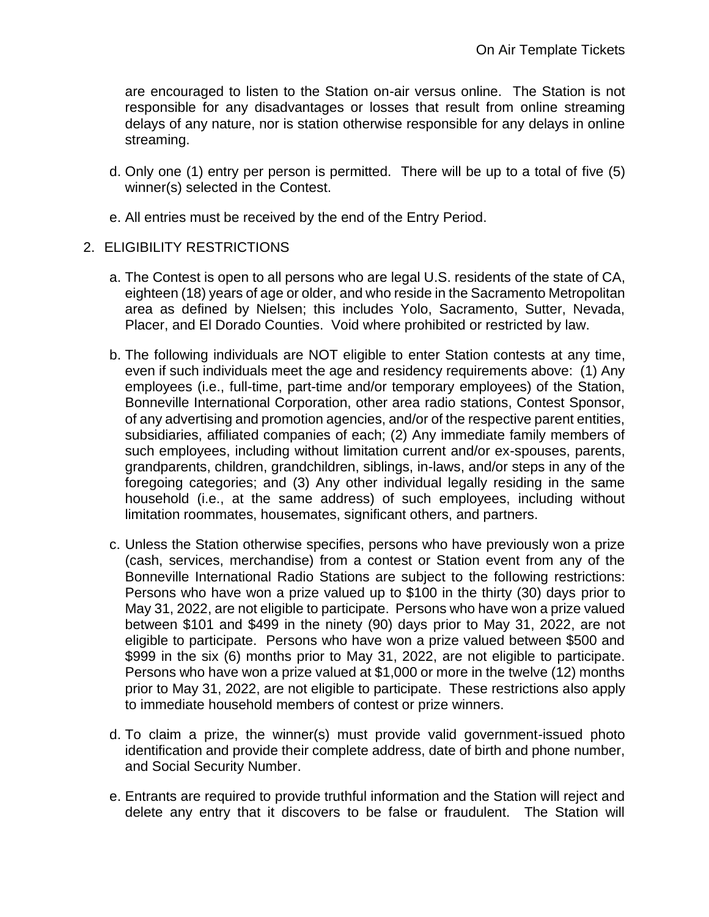are encouraged to listen to the Station on-air versus online. The Station is not responsible for any disadvantages or losses that result from online streaming delays of any nature, nor is station otherwise responsible for any delays in online streaming.

- d. Only one (1) entry per person is permitted. There will be up to a total of five (5) winner(s) selected in the Contest.
- e. All entries must be received by the end of the Entry Period.

#### 2. ELIGIBILITY RESTRICTIONS

- a. The Contest is open to all persons who are legal U.S. residents of the state of CA, eighteen (18) years of age or older, and who reside in the Sacramento Metropolitan area as defined by Nielsen; this includes Yolo, Sacramento, Sutter, Nevada, Placer, and El Dorado Counties. Void where prohibited or restricted by law.
- b. The following individuals are NOT eligible to enter Station contests at any time, even if such individuals meet the age and residency requirements above: (1) Any employees (i.e., full-time, part-time and/or temporary employees) of the Station, Bonneville International Corporation, other area radio stations, Contest Sponsor, of any advertising and promotion agencies, and/or of the respective parent entities, subsidiaries, affiliated companies of each; (2) Any immediate family members of such employees, including without limitation current and/or ex-spouses, parents, grandparents, children, grandchildren, siblings, in-laws, and/or steps in any of the foregoing categories; and (3) Any other individual legally residing in the same household (i.e., at the same address) of such employees, including without limitation roommates, housemates, significant others, and partners.
- c. Unless the Station otherwise specifies, persons who have previously won a prize (cash, services, merchandise) from a contest or Station event from any of the Bonneville International Radio Stations are subject to the following restrictions: Persons who have won a prize valued up to \$100 in the thirty (30) days prior to May 31, 2022, are not eligible to participate. Persons who have won a prize valued between \$101 and \$499 in the ninety (90) days prior to May 31, 2022, are not eligible to participate. Persons who have won a prize valued between \$500 and \$999 in the six (6) months prior to May 31, 2022, are not eligible to participate. Persons who have won a prize valued at \$1,000 or more in the twelve (12) months prior to May 31, 2022, are not eligible to participate. These restrictions also apply to immediate household members of contest or prize winners.
- d. To claim a prize, the winner(s) must provide valid government-issued photo identification and provide their complete address, date of birth and phone number, and Social Security Number.
- e. Entrants are required to provide truthful information and the Station will reject and delete any entry that it discovers to be false or fraudulent. The Station will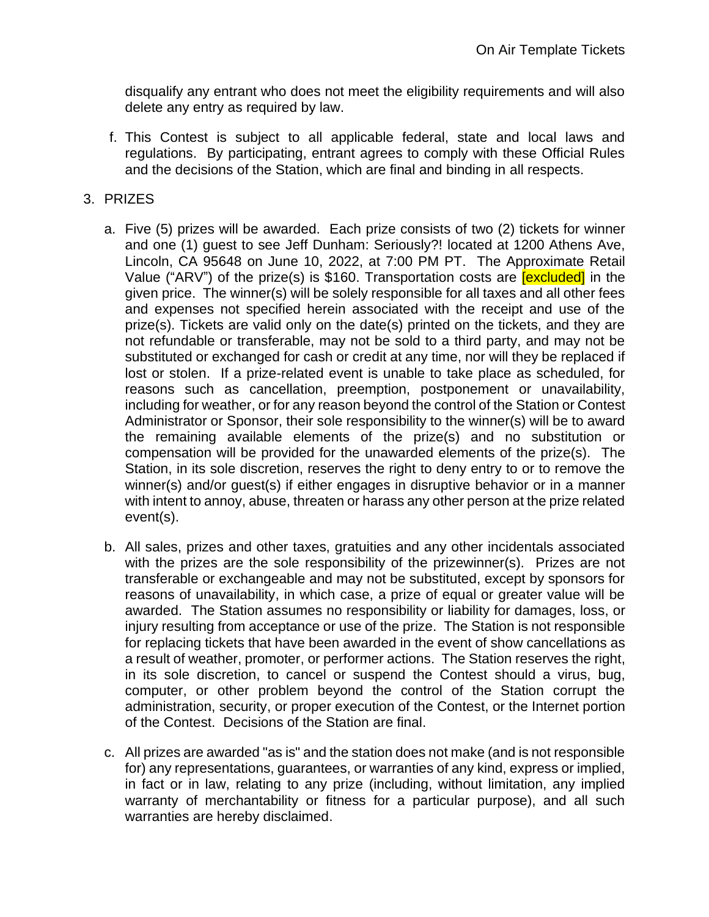disqualify any entrant who does not meet the eligibility requirements and will also delete any entry as required by law.

f. This Contest is subject to all applicable federal, state and local laws and regulations. By participating, entrant agrees to comply with these Official Rules and the decisions of the Station, which are final and binding in all respects.

## 3. PRIZES

- a. Five (5) prizes will be awarded. Each prize consists of two (2) tickets for winner and one (1) guest to see Jeff Dunham: Seriously?! located at 1200 Athens Ave, Lincoln, CA 95648 on June 10, 2022, at 7:00 PM PT. The Approximate Retail Value ("ARV") of the prize(s) is \$160. Transportation costs are **[excluded]** in the given price. The winner(s) will be solely responsible for all taxes and all other fees and expenses not specified herein associated with the receipt and use of the prize(s). Tickets are valid only on the date(s) printed on the tickets, and they are not refundable or transferable, may not be sold to a third party, and may not be substituted or exchanged for cash or credit at any time, nor will they be replaced if lost or stolen. If a prize-related event is unable to take place as scheduled, for reasons such as cancellation, preemption, postponement or unavailability, including for weather, or for any reason beyond the control of the Station or Contest Administrator or Sponsor, their sole responsibility to the winner(s) will be to award the remaining available elements of the prize(s) and no substitution or compensation will be provided for the unawarded elements of the prize(s). The Station, in its sole discretion, reserves the right to deny entry to or to remove the winner(s) and/or guest(s) if either engages in disruptive behavior or in a manner with intent to annoy, abuse, threaten or harass any other person at the prize related event(s).
- b. All sales, prizes and other taxes, gratuities and any other incidentals associated with the prizes are the sole responsibility of the prizewinner(s). Prizes are not transferable or exchangeable and may not be substituted, except by sponsors for reasons of unavailability, in which case, a prize of equal or greater value will be awarded. The Station assumes no responsibility or liability for damages, loss, or injury resulting from acceptance or use of the prize. The Station is not responsible for replacing tickets that have been awarded in the event of show cancellations as a result of weather, promoter, or performer actions. The Station reserves the right, in its sole discretion, to cancel or suspend the Contest should a virus, bug, computer, or other problem beyond the control of the Station corrupt the administration, security, or proper execution of the Contest, or the Internet portion of the Contest. Decisions of the Station are final.
- c. All prizes are awarded "as is" and the station does not make (and is not responsible for) any representations, guarantees, or warranties of any kind, express or implied, in fact or in law, relating to any prize (including, without limitation, any implied warranty of merchantability or fitness for a particular purpose), and all such warranties are hereby disclaimed.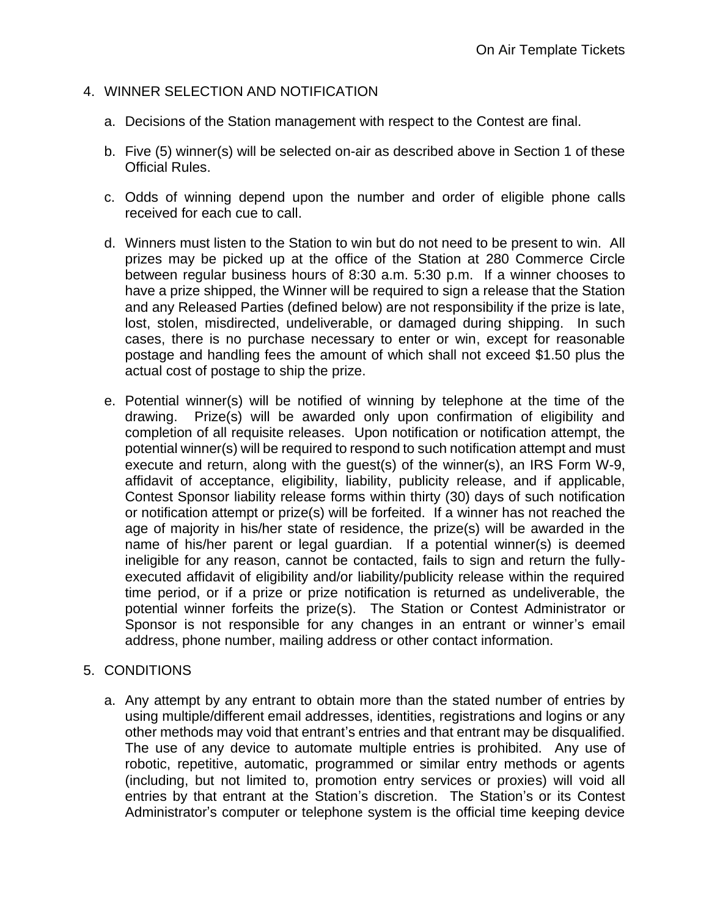## 4. WINNER SELECTION AND NOTIFICATION

- a. Decisions of the Station management with respect to the Contest are final.
- b. Five (5) winner(s) will be selected on-air as described above in Section 1 of these Official Rules.
- c. Odds of winning depend upon the number and order of eligible phone calls received for each cue to call.
- d. Winners must listen to the Station to win but do not need to be present to win. All prizes may be picked up at the office of the Station at 280 Commerce Circle between regular business hours of 8:30 a.m. 5:30 p.m. If a winner chooses to have a prize shipped, the Winner will be required to sign a release that the Station and any Released Parties (defined below) are not responsibility if the prize is late, lost, stolen, misdirected, undeliverable, or damaged during shipping. In such cases, there is no purchase necessary to enter or win, except for reasonable postage and handling fees the amount of which shall not exceed \$1.50 plus the actual cost of postage to ship the prize.
- e. Potential winner(s) will be notified of winning by telephone at the time of the drawing. Prize(s) will be awarded only upon confirmation of eligibility and completion of all requisite releases. Upon notification or notification attempt, the potential winner(s) will be required to respond to such notification attempt and must execute and return, along with the guest(s) of the winner(s), an IRS Form W-9, affidavit of acceptance, eligibility, liability, publicity release, and if applicable, Contest Sponsor liability release forms within thirty (30) days of such notification or notification attempt or prize(s) will be forfeited. If a winner has not reached the age of majority in his/her state of residence, the prize(s) will be awarded in the name of his/her parent or legal guardian. If a potential winner(s) is deemed ineligible for any reason, cannot be contacted, fails to sign and return the fullyexecuted affidavit of eligibility and/or liability/publicity release within the required time period, or if a prize or prize notification is returned as undeliverable, the potential winner forfeits the prize(s). The Station or Contest Administrator or Sponsor is not responsible for any changes in an entrant or winner's email address, phone number, mailing address or other contact information.

#### 5. CONDITIONS

a. Any attempt by any entrant to obtain more than the stated number of entries by using multiple/different email addresses, identities, registrations and logins or any other methods may void that entrant's entries and that entrant may be disqualified. The use of any device to automate multiple entries is prohibited. Any use of robotic, repetitive, automatic, programmed or similar entry methods or agents (including, but not limited to, promotion entry services or proxies) will void all entries by that entrant at the Station's discretion. The Station's or its Contest Administrator's computer or telephone system is the official time keeping device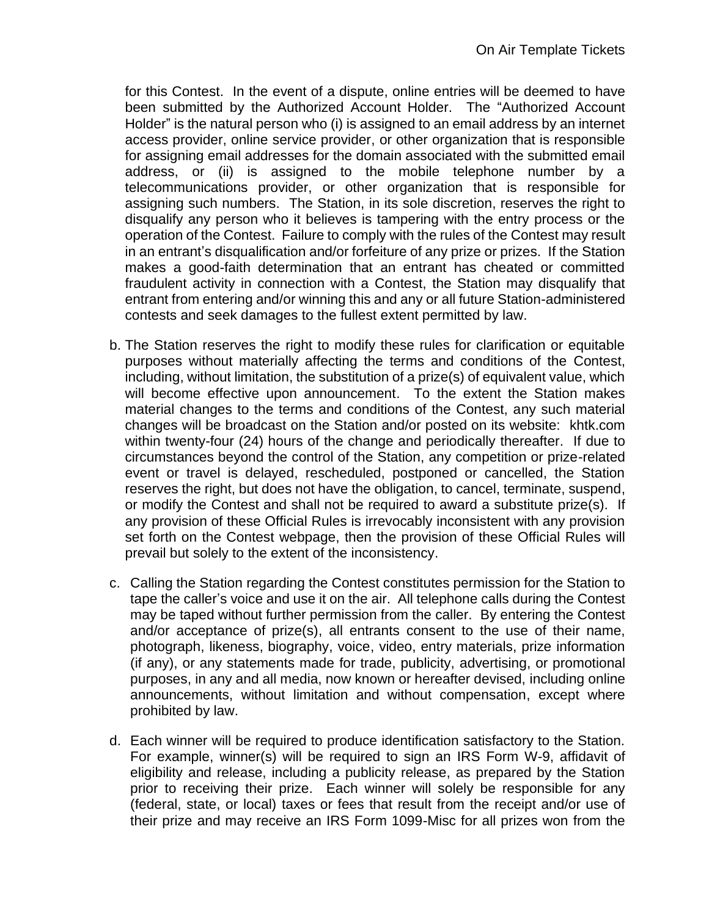for this Contest. In the event of a dispute, online entries will be deemed to have been submitted by the Authorized Account Holder. The "Authorized Account Holder" is the natural person who (i) is assigned to an email address by an internet access provider, online service provider, or other organization that is responsible for assigning email addresses for the domain associated with the submitted email address, or (ii) is assigned to the mobile telephone number by a telecommunications provider, or other organization that is responsible for assigning such numbers. The Station, in its sole discretion, reserves the right to disqualify any person who it believes is tampering with the entry process or the operation of the Contest. Failure to comply with the rules of the Contest may result in an entrant's disqualification and/or forfeiture of any prize or prizes. If the Station makes a good-faith determination that an entrant has cheated or committed fraudulent activity in connection with a Contest, the Station may disqualify that entrant from entering and/or winning this and any or all future Station-administered contests and seek damages to the fullest extent permitted by law.

- b. The Station reserves the right to modify these rules for clarification or equitable purposes without materially affecting the terms and conditions of the Contest, including, without limitation, the substitution of a prize(s) of equivalent value, which will become effective upon announcement. To the extent the Station makes material changes to the terms and conditions of the Contest, any such material changes will be broadcast on the Station and/or posted on its website: khtk.com within twenty-four (24) hours of the change and periodically thereafter. If due to circumstances beyond the control of the Station, any competition or prize-related event or travel is delayed, rescheduled, postponed or cancelled, the Station reserves the right, but does not have the obligation, to cancel, terminate, suspend, or modify the Contest and shall not be required to award a substitute prize(s). If any provision of these Official Rules is irrevocably inconsistent with any provision set forth on the Contest webpage, then the provision of these Official Rules will prevail but solely to the extent of the inconsistency.
- c. Calling the Station regarding the Contest constitutes permission for the Station to tape the caller's voice and use it on the air. All telephone calls during the Contest may be taped without further permission from the caller. By entering the Contest and/or acceptance of prize(s), all entrants consent to the use of their name, photograph, likeness, biography, voice, video, entry materials, prize information (if any), or any statements made for trade, publicity, advertising, or promotional purposes, in any and all media, now known or hereafter devised, including online announcements, without limitation and without compensation, except where prohibited by law.
- d. Each winner will be required to produce identification satisfactory to the Station. For example, winner(s) will be required to sign an IRS Form W-9, affidavit of eligibility and release, including a publicity release, as prepared by the Station prior to receiving their prize. Each winner will solely be responsible for any (federal, state, or local) taxes or fees that result from the receipt and/or use of their prize and may receive an IRS Form 1099-Misc for all prizes won from the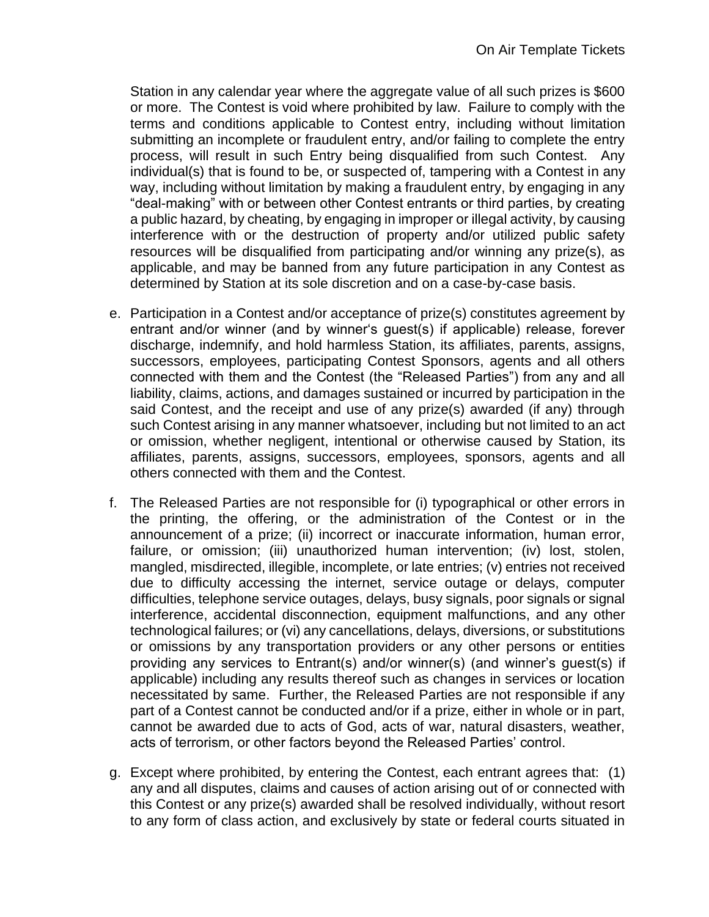Station in any calendar year where the aggregate value of all such prizes is \$600 or more. The Contest is void where prohibited by law. Failure to comply with the terms and conditions applicable to Contest entry, including without limitation submitting an incomplete or fraudulent entry, and/or failing to complete the entry process, will result in such Entry being disqualified from such Contest. Any individual(s) that is found to be, or suspected of, tampering with a Contest in any way, including without limitation by making a fraudulent entry, by engaging in any "deal-making" with or between other Contest entrants or third parties, by creating a public hazard, by cheating, by engaging in improper or illegal activity, by causing interference with or the destruction of property and/or utilized public safety resources will be disqualified from participating and/or winning any prize(s), as applicable, and may be banned from any future participation in any Contest as determined by Station at its sole discretion and on a case-by-case basis.

- e. Participation in a Contest and/or acceptance of prize(s) constitutes agreement by entrant and/or winner (and by winner's guest(s) if applicable) release, forever discharge, indemnify, and hold harmless Station, its affiliates, parents, assigns, successors, employees, participating Contest Sponsors, agents and all others connected with them and the Contest (the "Released Parties") from any and all liability, claims, actions, and damages sustained or incurred by participation in the said Contest, and the receipt and use of any prize(s) awarded (if any) through such Contest arising in any manner whatsoever, including but not limited to an act or omission, whether negligent, intentional or otherwise caused by Station, its affiliates, parents, assigns, successors, employees, sponsors, agents and all others connected with them and the Contest.
- f. The Released Parties are not responsible for (i) typographical or other errors in the printing, the offering, or the administration of the Contest or in the announcement of a prize; (ii) incorrect or inaccurate information, human error, failure, or omission; (iii) unauthorized human intervention; (iv) lost, stolen, mangled, misdirected, illegible, incomplete, or late entries; (v) entries not received due to difficulty accessing the internet, service outage or delays, computer difficulties, telephone service outages, delays, busy signals, poor signals or signal interference, accidental disconnection, equipment malfunctions, and any other technological failures; or (vi) any cancellations, delays, diversions, or substitutions or omissions by any transportation providers or any other persons or entities providing any services to Entrant(s) and/or winner(s) (and winner's guest(s) if applicable) including any results thereof such as changes in services or location necessitated by same. Further, the Released Parties are not responsible if any part of a Contest cannot be conducted and/or if a prize, either in whole or in part, cannot be awarded due to acts of God, acts of war, natural disasters, weather, acts of terrorism, or other factors beyond the Released Parties' control.
- g. Except where prohibited, by entering the Contest, each entrant agrees that: (1) any and all disputes, claims and causes of action arising out of or connected with this Contest or any prize(s) awarded shall be resolved individually, without resort to any form of class action, and exclusively by state or federal courts situated in